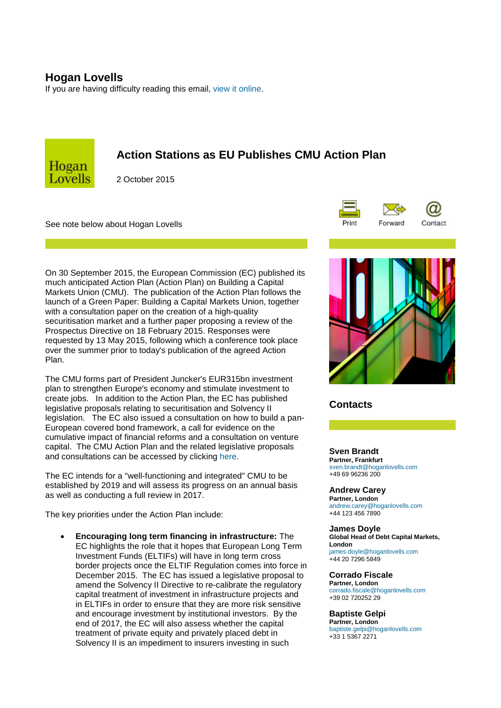## **Hogan Lovells**

If you are having difficulty reading this email, [view it online.](http://ehoganlovells.com/rv/ff0022831dc88e8d3c84e4fc6245ad41e6883500)



# **Action Stations as EU Publishes CMU Action Plan**

2 October 2015

See note below about Hogan Lovells



On 30 September 2015, the European Commission (EC) published its much anticipated Action Plan (Action Plan) on Building a Capital Markets Union (CMU). The publication of the Action Plan follows the launch of a Green Paper: Building a Capital Markets Union, together with a consultation paper on the creation of a high-quality securitisation market and a further paper proposing a review of the Prospectus Directive on 18 February 2015. Responses were requested by 13 May 2015, following which a conference took place over the summer prior to today's publication of the agreed Action Plan.

The CMU forms part of President Juncker's EUR315bn investment plan to strengthen Europe's economy and stimulate investment to create jobs. In addition to the Action Plan, the EC has published legislative proposals relating to securitisation and Solvency II legislation. The EC also issued a consultation on how to build a pan-European covered bond framework, a call for evidence on the cumulative impact of financial reforms and a consultation on venture capital. The CMU Action Plan and the related legislative proposals and consultations can be accessed by clicking [here.](http://ehoganlovells.com/collect/click.aspx?u=+kwomMh7G5fX732ACTd3BPSpKLtkr11K15z+WCg5+T6gGeOICTzSXKYSDwPP86KrVZYrvwgHBvodaEfpA0aSDg==&rh=ff0022831dc88e8d3c84e4fc6245ad41e6883500)

The EC intends for a "well-functioning and integrated" CMU to be established by 2019 and will assess its progress on an annual basis as well as conducting a full review in 2017.

The key priorities under the Action Plan include:

• **Encouraging long term financing in infrastructure:** The EC highlights the role that it hopes that European Long Term Investment Funds (ELTIFs) will have in long term cross border projects once the ELTIF Regulation comes into force in December 2015. The EC has issued a legislative proposal to amend the Solvency II Directive to re-calibrate the regulatory capital treatment of investment in infrastructure projects and in ELTIFs in order to ensure that they are more risk sensitive and encourage investment by institutional investors. By the end of 2017, the EC will also assess whether the capital treatment of private equity and privately placed debt in Solvency II is an impediment to insurers investing in such



## **Contacts**

**Sven Brandt Partner, Frankfurt** [sven.brandt@hoganlovells.com](mailto:sven.brandt@hoganlovells.com) +49 69 96236 200

**Andrew Carey**

**Partner, London** [andrew.carey@hoganlovells.com](mailto:andrew.carey@hoganlovells.com) +44 123 456 7890

**James Doyle Global Head of Debt Capital Markets, London** [james.doyle@hoganlovells.com](mailto:james.doyle@hoganlovells.com)

+44 20 7296 5849

### **Corrado Fiscale**

**Partner, London** [corrado.fiscale@hoganlovells.com](mailto:corrado.fiscale@hoganlovells.com) +39 02 720252 29

### **Baptiste Gelpi**

**Partner, London** [baptiste.gelpi@hoganlovells.com](mailto:baptiste.gelpi@hoganlovells.com) +33 1 5367 2271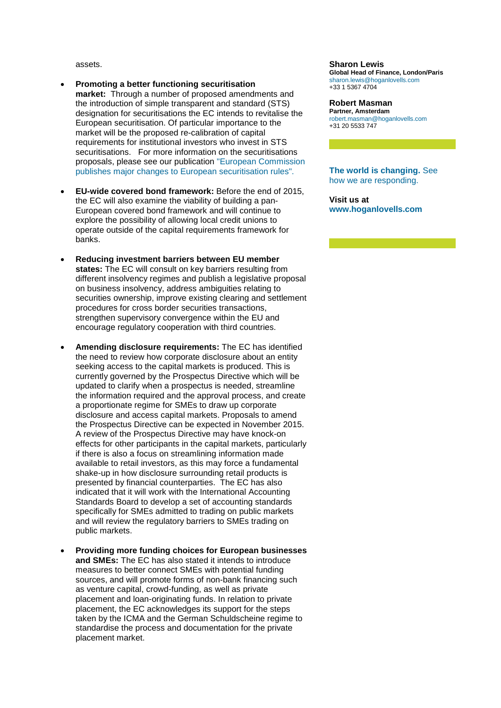assets.

- **Promoting a better functioning securitisation market:** Through a number of proposed amendments and the introduction of simple transparent and standard (STS) designation for securitisations the EC intends to revitalise the European securitisation. Of particular importance to the market will be the proposed re-calibration of capital requirements for institutional investors who invest in STS securitisations. For more information on the securitisations proposals, please see our publication ["European Commission](http://ehoganlovells.com/collect/click.aspx?u=+kwomMh7G5egKwKIdJmC2fEynUBLuDtxIJ0Kwa2gyQjE80yEfSlrgxN2nlv1QTiKtGvNXqh1k7akQaMbmXiVUO3dFzxYT1Mh&rh=ff0022831dc88e8d3c84e4fc6245ad41e6883500)  [publishes major changes to European securitisation rules".](http://ehoganlovells.com/collect/click.aspx?u=+kwomMh7G5egKwKIdJmC2fEynUBLuDtxIJ0Kwa2gyQjE80yEfSlrgxN2nlv1QTiKtGvNXqh1k7akQaMbmXiVUO3dFzxYT1Mh&rh=ff0022831dc88e8d3c84e4fc6245ad41e6883500)
- **EU-wide covered bond framework:** Before the end of 2015, the EC will also examine the viability of building a pan-European covered bond framework and will continue to explore the possibility of allowing local credit unions to operate outside of the capital requirements framework for banks.
- **Reducing investment barriers between EU member states:** The EC will consult on key barriers resulting from different insolvency regimes and publish a legislative proposal on business insolvency, address ambiguities relating to securities ownership, improve existing clearing and settlement procedures for cross border securities transactions, strengthen supervisory convergence within the EU and encourage regulatory cooperation with third countries.
- **Amending disclosure requirements:** The EC has identified the need to review how corporate disclosure about an entity seeking access to the capital markets is produced. This is currently governed by the Prospectus Directive which will be updated to clarify when a prospectus is needed, streamline the information required and the approval process, and create a proportionate regime for SMEs to draw up corporate disclosure and access capital markets. Proposals to amend the Prospectus Directive can be expected in November 2015. A review of the Prospectus Directive may have knock-on effects for other participants in the capital markets, particularly if there is also a focus on streamlining information made available to retail investors, as this may force a fundamental shake-up in how disclosure surrounding retail products is presented by financial counterparties. The EC has also indicated that it will work with the International Accounting Standards Board to develop a set of accounting standards specifically for SMEs admitted to trading on public markets and will review the regulatory barriers to SMEs trading on public markets.
- **Providing more funding choices for European businesses and SMEs:** The EC has also stated it intends to introduce measures to better connect SMEs with potential funding sources, and will promote forms of non-bank financing such as venture capital, crowd-funding, as well as private placement and loan-originating funds. In relation to private placement, the EC acknowledges its support for the steps taken by the ICMA and the German Schuldscheine regime to standardise the process and documentation for the private placement market.

#### **Sharon Lewis**

**Global Head of Finance, London/Paris** [sharon.lewis@hoganlovells.com](mailto:sharon.lewis@hoganlovells.com) +33 1 5367 4704

#### **Robert Masman**

**Partner, Amsterdam** [robert.masman@hoganlovells.com](mailto:robert.masman@hoganlovells.com) +31 20 5533 747

**[The world is changing.](http://ehoganlovells.com/collect/click.aspx?u=s54SYG4dfwZ6YZKN2h5FExVSCCo6UVRO&rh=ff0022831dc88e8d3c84e4fc6245ad41e6883500)** See [how we are responding.](http://ehoganlovells.com/collect/click.aspx?u=s54SYG4dfwZ6YZKN2h5FExVSCCo6UVRO&rh=ff0022831dc88e8d3c84e4fc6245ad41e6883500)

**Visit us at [www.hoganlovells.com](http://ehoganlovells.com/collect/click.aspx?u=/G1GTPto3VV0fJHDA6UTjlSZ/9DP7fhk8+VZsM4wM+U=&rh=ff0022831dc88e8d3c84e4fc6245ad41e6883500)**